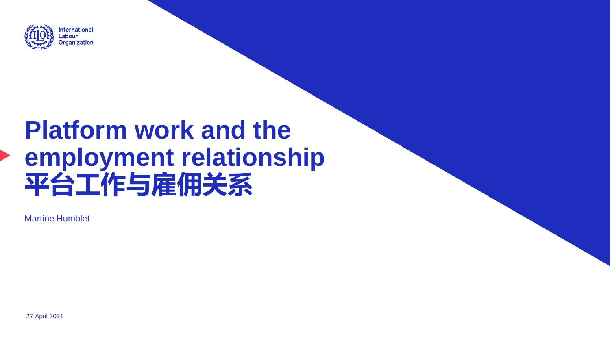

# **Platform work and the employment relationship 平台工作与雇佣关系**

Martine Humblet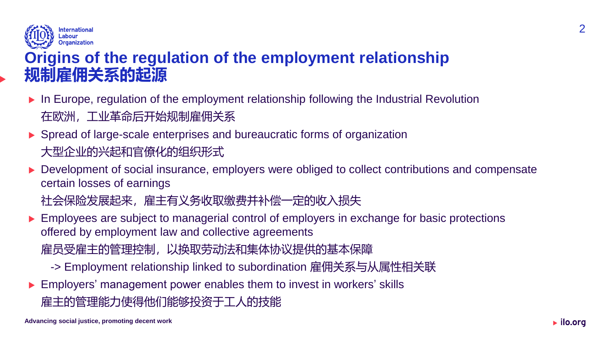

### **Origins of the regulation of the employment relationship 规制雇佣关系的起源**

- ▶ In Europe, regulation of the employment relationship following the Industrial Revolution 在欧洲,工业革命后开始规制雇佣关系
- ▶ Spread of large-scale enterprises and bureaucratic forms of organization 大型企业的兴起和官僚化的组织形式
- Development of social insurance, employers were obliged to collect contributions and compensate certain losses of earnings

社会保险发展起来,雇主有义务收取缴费并补偿一定的收入损失

- **Employees are subject to managerial control of employers in exchange for basic protections** offered by employment law and collective agreements 雇员受雇主的管理控制,以换取劳动法和集体协议提供的基本保障
	- -> Employment relationship linked to subordination 雇佣关系与从属性相关联
- ▶ Employers' management power enables them to invest in workers' skills 雇主的管理能力使得他们能够投资于工人的技能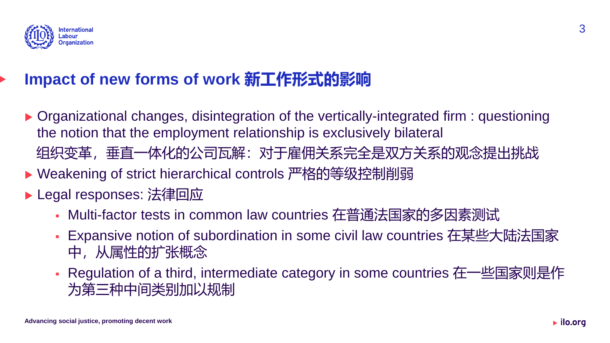

## **Impact of new forms of work 新工作形式的影响**

- ▶ Organizational changes, disintegration of the vertically-integrated firm : questioning the notion that the employment relationship is exclusively bilateral
	- 组织变革,垂直一体化的公司瓦解:对于雇佣关系完全是双方关系的观念提出挑战
- ▶ Weakening of strict hierarchical controls 严格的等级控制削弱
- ▶ Legal responses: 法律回应
	- Multi-factor tests in common law countries 在普通法国家的多因素测试
	- Expansive notion of subordination in some civil law countries 在某些大陆法国家 中,从属性的扩张概念
	- Regulation of a third, intermediate category in some countries 在一些国家则是作 为第三种中间类别加以规制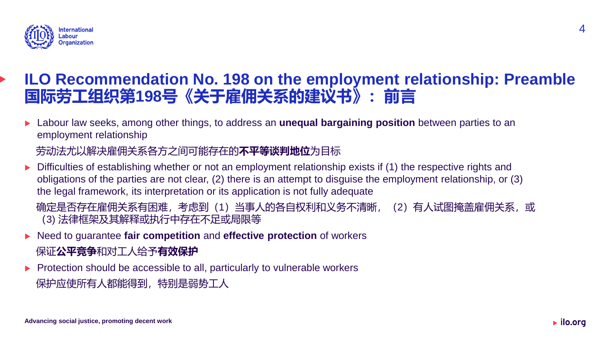

### **ILO Recommendation No. 198 on the employment relationship: Preamble 国际劳工组织第198号《关于雇佣关系的建议书》:前言**

 Labour law seeks, among other things, to address an **unequal bargaining position** between parties to an employment relationship

#### 劳动法尤以解决雇佣关系各方之间可能存在的**不平等谈判地位**为目标

 Difficulties of establishing whether or not an employment relationship exists if (1) the respective rights and obligations of the parties are not clear, (2) there is an attempt to disguise the employment relationship, or (3) the legal framework, its interpretation or its application is not fully adequate

确定是否存在雇佣关系有困难,考虑到(1)当事人的各自权利和义务不清晰, (2)有人试图掩盖雇佣关系, 或 (3) 法律框架及其解释或执行中存在不足或局限等

- ▶ Need to guarantee **fair competition** and **effective protection** of workers 保证**公平竞争**和对工人给予**有效保护**
- $\blacktriangleright$  Protection should be accessible to all, particularly to vulnerable workers

```
保护应使所有人都能得到,特别是弱势工人
```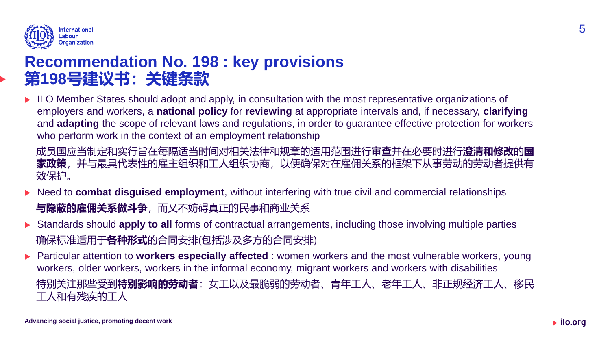

### **Recommendation No. 198 : key provisions 第198号建议书:关键条款**

ILO Member States should adopt and apply, in consultation with the most representative organizations of employers and workers, a **national policy** for **reviewing** at appropriate intervals and, if necessary, **clarifying** and **adapting** the scope of relevant laws and regulations, in order to guarantee effective protection for workers who perform work in the context of an employment relationship

成员国应当制定和实行旨在每隔适当时间对相关法律和规章的适用范围进行**审查**并在必要时进行**澄清和修改**的**国 家政策**,并与最具代表性的雇主组织和工人组织协商,以便确保对在雇佣关系的框架下从事劳动的劳动者提供有 效保护。

- ▶ Need to **combat disguised employment**, without interfering with true civil and commercial relationships **与隐蔽的雇佣关系做斗争**,而又不妨碍真正的民事和商业关系
- Standards should **apply to all** forms of contractual arrangements, including those involving multiple parties 确保标准适用于**各种形式**的合同安排(包括涉及多方的合同安排)
- ▶ Particular attention to **workers especially affected** : women workers and the most vulnerable workers, young workers, older workers, workers in the informal economy, migrant workers and workers with disabilities 特别关注那些受到**特别影响的劳动者**:女工以及最脆弱的劳动者、青年工人、老年工人、非正规经济工人、移民 工人和有残疾的工人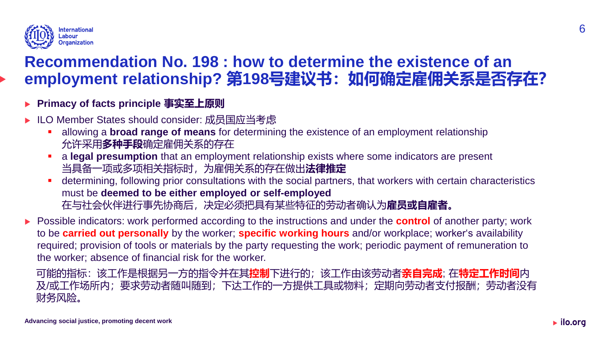

### **Recommendation No. 198 : how to determine the existence of an employment relationship? 第198号建议书:如何确定雇佣关系是否存在?**

#### **Primacy of facts principle 事实至上原则**

- ▶ ILO Member States should consider: 成员国应当考虑
	- allowing a **broad range of means** for determining the existence of an employment relationship 允许采用**多种手段**确定雇佣关系的存在
	- a **legal presumption** that an employment relationship exists where some indicators are present 当具备一项或多项相关指标时,为雇佣关系的存在做出**法律推定**
	- determining, following prior consultations with the social partners, that workers with certain characteristics must be **deemed to be either employed or self-employed**  在与社会伙伴进行事先协商后,决定必须把具有某些特征的劳动者确认为**雇员或自雇者。**
- **Possible indicators: work performed according to the instructions and under the <b>control** of another party; work to be **carried out personally** by the worker; **specific working hours** and/or workplace; worker's availability required; provision of tools or materials by the party requesting the work; periodic payment of remuneration to the worker; absence of financial risk for the worker.

可能的指标:该工作是根据另一方的指令并在其**控制**下进行的;该工作由该劳动者**亲自完成**; 在**特定工作时间**内 及/或工作场所内;要求劳动者随叫随到;下达工作的一方提供工具或物料;定期向劳动者支付报酬;劳动者没有 财务风险。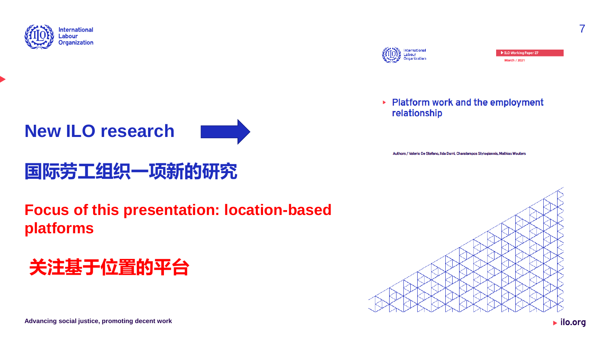



## **国际劳工组织一项新的研究**

**Focus of this presentation: location-based platforms**

## **关注基于位置的平台**



▶ Platform work and the employment relationship

Authors / Valerio De Stefano, Ilda Durri, Charalampos Stylogiannis, Mathias Wouters



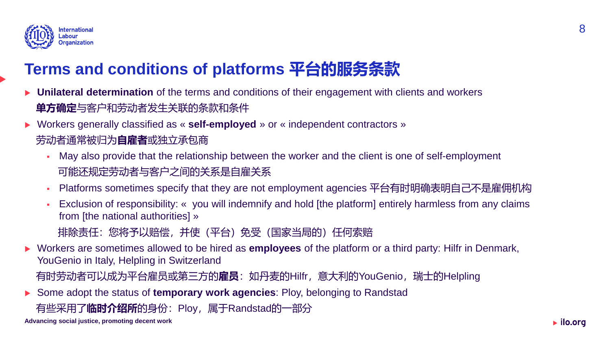

## **Terms and conditions of platforms 平台的服务条款**

- **Unilateral determination** of the terms and conditions of their engagement with clients and workers **单方确定**与客户和劳动者发生关联的条款和条件
- Workers generally classified as « **self-employed** » or « independent contractors » 劳动者通常被归为**自雇者**或独立承包商
	- May also provide that the relationship between the worker and the client is one of self-employment 可能还规定劳动者与客户之间的关系是自雇关系
	- Platforms sometimes specify that they are not employment agencies 平台有时明确表明自己不是雇佣机构
	- Exclusion of responsibility: « you will indemnify and hold [the platform] entirely harmless from any claims from [the national authorities] »
		- 排除责任:您将予以赔偿,并使(平台)免受(国家当局的)任何索赔
- Workers are sometimes allowed to be hired as **employees** of the platform or a third party: Hilfr in Denmark, YouGenio in Italy, Helpling in Switzerland

有时劳动者可以成为平台雇员或第三方的**雇员**:如丹麦的Hilfr,意大利的YouGenio,瑞士的Helpling

Some adopt the status of **temporary work agencies**: Ploy, belonging to Randstad

有些采用了**临时介绍所**的身份:Ploy,属于Randstad的一部分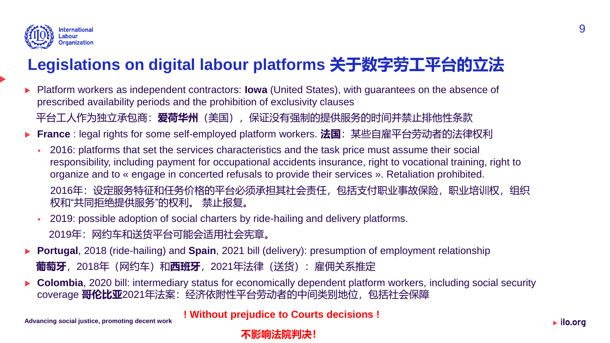

## **Legislations on digital labour platforms 关于数字劳工平台的立法**

- Platform workers as independent contractors: **Iowa** (United States), with guarantees on the absence of prescribed availability periods and the prohibition of exclusivity clauses 平台工人作为独立承包商: **爱荷华州**(美国),保证没有强制的提供服务的时间并禁止排他性条款
- ▶ France : legal rights for some self-employed platform workers. **法国**: 某些自雇平台劳动者的法律权利
	- 2016: platforms that set the services characteristics and the task price must assume their social responsibility, including payment for occupational accidents insurance, right to vocational training, right to organize and to « engage in concerted refusals to provide their services ». Retaliation prohibited. 2016年:设定服务特征和任务价格的平台必须承担其社会责任,包括支付职业事故保险,职业培训权,组织 权和"共同拒绝提供服务"的权利。 禁止报复。
	- 2019: possible adoption of social charters by ride-hailing and delivery platforms. 2019年:网约车和送货平台可能会适用社会宪章。
- **Portugal**, 2018 (ride-hailing) and **Spain**, 2021 bill (delivery): presumption of employment relationship **葡萄牙**, 2018年(网约车)和**西班牙**, 2021年法律(送货): 雇佣关系推定
- **Colombia**, 2020 bill: intermediary status for economically dependent platform workers, including social security coverage **哥伦比亚**2021年法案:经济依附性平台劳动者的中间类别地位,包括社会保障

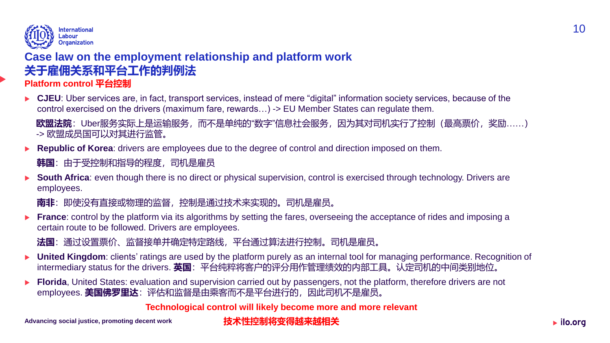

#### **Case law on the employment relationship and platform work 关于雇佣关系和平台工作的判例法**

**Platform control 平台控制**

▶ CJEU: Uber services are, in fact, transport services, instead of mere "digital" information society services, because of the control exercised on the drivers (maximum fare, rewards…) -> EU Member States can regulate them.

**欧盟法院**: Uber服务实际上是运输服务, 而不是单纯的"数字"信息社会服务, 因为其对司机实行了控制(最高票价, 奖励……) -> 欧盟成员国可以对其进行监管。

**Republic of Korea**: drivers are employees due to the degree of control and direction imposed on them.

**韩国**:由于受控制和指导的程度,司机是雇员

 **South Africa**: even though there is no direct or physical supervision, control is exercised through technology. Drivers are employees.

**南非**: 即使没有直接或物理的监督, 控制是通过技术来实现的。司机是雇员。

**France**: control by the platform via its algorithms by setting the fares, overseeing the acceptance of rides and imposing a certain route to be followed. Drivers are employees.

**法国**: 通过设置票价、监督接单并确定特定路线,平台通过算法进行控制。司机是雇员。

- **IDIM** United Kingdom: clients' ratings are used by the platform purely as an internal tool for managing performance. Recognition of intermediary status for the drivers. **英国**: 平台纯粹将客户的评分用作管理绩效的内部工具。认定司机的中间类别地位。
- **Florida**, United States: evaluation and supervision carried out by passengers, not the platform, therefore drivers are not employees. **美国佛罗里达**: 评估和监督是由乘客而不是平台进行的, 因此司机不是雇员。

**Technological control will likely become more and more relevant** 

10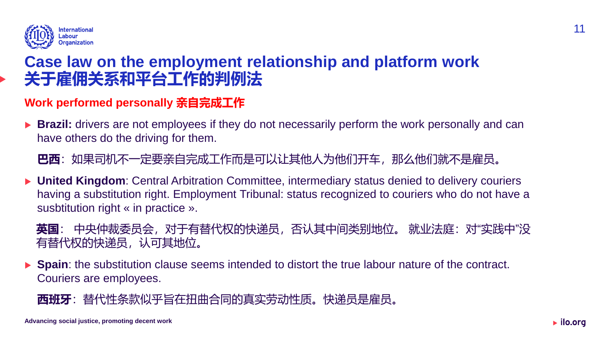

### **Case law on the employment relationship and platform work 关于雇佣关系和平台工作的判例法**

#### **Work performed personally 亲自完成工作**

**Brazil:** drivers are not employees if they do not necessarily perform the work personally and can have others do the driving for them.

**巴西**: 如果司机不一定要亲自完成工作而是可以让其他人为他们开车, 那么他们就不是雇员。

▶ United Kingdom: Central Arbitration Committee, intermediary status denied to delivery couriers having a substitution right. Employment Tribunal: status recognized to couriers who do not have a susbtitution right « in practice ».

**英国**: 中央仲裁委员会,对于有替代权的快递员,否认其中间类别地位。 就业法庭:对"实践中"没 有替代权的快递员,认可其地位。

 **Spain**: the substitution clause seems intended to distort the true labour nature of the contract. Couriers are employees.

**西班牙**: 替代性条款似乎旨在扭曲合同的真实劳动性质。快递员是雇员。

11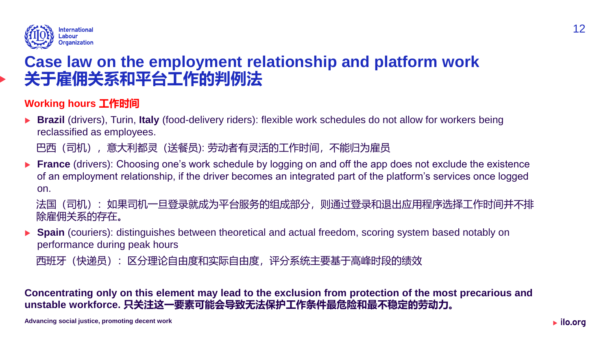

### **Case law on the employment relationship and platform work 关于雇佣关系和平台工作的判例法**

#### **Working hours 工作时间**

▶ **Brazil** (drivers), Turin, **Italy** (food-delivery riders): flexible work schedules do not allow for workers being reclassified as employees.

巴西(司机),意大利都灵(送餐员): 劳动者有灵活的工作时间,不能归为雇员

**France** (drivers): Choosing one's work schedule by logging on and off the app does not exclude the existence of an employment relationship, if the driver becomes an integrated part of the platform's services once logged on.

法国(司机): 如果司机一旦登录就成为平台服务的组成部分, 则通过登录和退出应用程序选择工作时间并不排 除雇佣关系的存在。

**Spain** (couriers): distinguishes between theoretical and actual freedom, scoring system based notably on performance during peak hours

西班牙(快递员):区分理论自由度和实际自由度,评分系统主要基于高峰时段的绩效

**Concentrating only on this element may lead to the exclusion from protection of the most precarious and unstable workforce. 只关注这一要素可能会导致无法保护工作条件最危险和最不稳定的劳动力。**